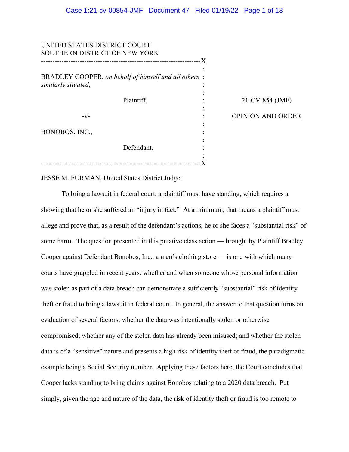| UNITED STATES DISTRICT COURT<br>SOUTHERN DISTRICT OF NEW YORK               |  |
|-----------------------------------------------------------------------------|--|
| BRADLEY COOPER, on behalf of himself and all others:<br>similarly situated, |  |
| Plaintiff,                                                                  |  |
| -v-                                                                         |  |
| BONOBOS, INC.,                                                              |  |
| Defendant.                                                                  |  |
|                                                                             |  |

21-CV-854 (JMF)

OPINION AND ORDER

JESSE M. FURMAN, United States District Judge:

To bring a lawsuit in federal court, a plaintiff must have standing, which requires a showing that he or she suffered an "injury in fact." At a minimum, that means a plaintiff must allege and prove that, as a result of the defendant's actions, he or she faces a "substantial risk" of some harm. The question presented in this putative class action — brought by Plaintiff Bradley Cooper against Defendant Bonobos, Inc., a men's clothing store — is one with which many courts have grappled in recent years: whether and when someone whose personal information was stolen as part of a data breach can demonstrate a sufficiently "substantial" risk of identity theft or fraud to bring a lawsuit in federal court. In general, the answer to that question turns on evaluation of several factors: whether the data was intentionally stolen or otherwise compromised; whether any of the stolen data has already been misused; and whether the stolen data is of a "sensitive" nature and presents a high risk of identity theft or fraud, the paradigmatic example being a Social Security number. Applying these factors here, the Court concludes that Cooper lacks standing to bring claims against Bonobos relating to a 2020 data breach. Put simply, given the age and nature of the data, the risk of identity theft or fraud is too remote to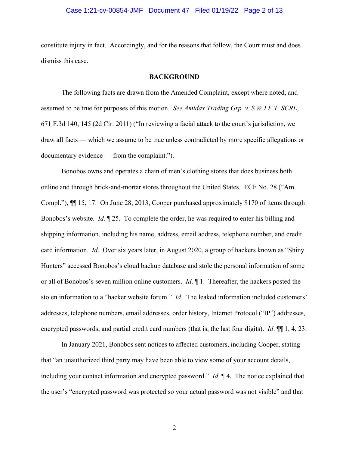# Case 1:21-cv-00854-JMF Document 47 Filed 01/19/22 Page 2 of 13

constitute injury in fact. Accordingly, and for the reasons that follow, the Court must and does dismiss this case.

#### **BACKGROUND**

The following facts are drawn from the Amended Complaint, except where noted, and assumed to be true for purposes of this motion. *See Amidax Trading Grp. v. S.W.I.F.T. SCRL*, 671 F.3d 140, 145 (2d Cir. 2011) ("In reviewing a facial attack to the court's jurisdiction, we draw all facts — which we assume to be true unless contradicted by more specific allegations or documentary evidence — from the complaint.").

Bonobos owns and operates a chain of men's clothing stores that does business both online and through brick-and-mortar stores throughout the United States. ECF No. 28 ("Am. Compl."), ¶¶ 15, 17. On June 28, 2013, Cooper purchased approximately \$170 of items through Bonobos's website. *Id.* ¶ 25. To complete the order, he was required to enter his billing and shipping information, including his name, address, email address, telephone number, and credit card information. *Id*. Over six years later, in August 2020, a group of hackers known as "Shiny Hunters" accessed Bonobos's cloud backup database and stole the personal information of some or all of Bonobos's seven million online customers. *Id*. ¶ 1. Thereafter, the hackers posted the stolen information to a "hacker website forum." *Id*. The leaked information included customers' addresses, telephone numbers, email addresses, order history, Internet Protocol ("IP") addresses, encrypted passwords, and partial credit card numbers (that is, the last four digits). *Id*. ¶¶ 1, 4, 23.

In January 2021, Bonobos sent notices to affected customers, including Cooper, stating that "an unauthorized third party may have been able to view some of your account details, including your contact information and encrypted password." *Id*. ¶ 4. The notice explained that the user's "encrypted password was protected so your actual password was not visible" and that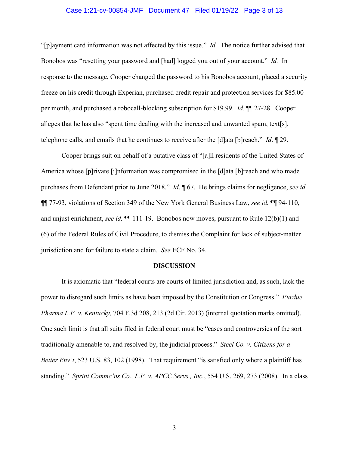# Case 1:21-cv-00854-JMF Document 47 Filed 01/19/22 Page 3 of 13

"[p]ayment card information was not affected by this issue." *Id.* The notice further advised that Bonobos was "resetting your password and [had] logged you out of your account." *Id.* In response to the message, Cooper changed the password to his Bonobos account, placed a security freeze on his credit through Experian, purchased credit repair and protection services for \$85.00 per month, and purchased a robocall-blocking subscription for \$19.99. *Id*. ¶¶ 27-28. Cooper alleges that he has also "spent time dealing with the increased and unwanted spam, text[s], telephone calls, and emails that he continues to receive after the [d]ata [b]reach." *Id*. ¶ 29.

Cooper brings suit on behalf of a putative class of "[a]ll residents of the United States of America whose [p]rivate [i]nformation was compromised in the [d]ata [b]reach and who made purchases from Defendant prior to June 2018." *Id*. ¶ 67. He brings claims for negligence, *see id.* ¶¶ 77-93, violations of Section 349 of the New York General Business Law, *see id.* ¶¶ 94-110, and unjust enrichment, *see id.*  $\P$ [111-19. Bonobos now moves, pursuant to Rule 12(b)(1) and (6) of the Federal Rules of Civil Procedure, to dismiss the Complaint for lack of subject-matter jurisdiction and for failure to state a claim. *See* ECF No. 34.

### **DISCUSSION**

It is axiomatic that "federal courts are courts of limited jurisdiction and, as such, lack the power to disregard such limits as have been imposed by the Constitution or Congress." *Purdue Pharma L.P. v. Kentucky,* 704 F.3d 208, 213 (2d Cir. 2013) (internal quotation marks omitted). One such limit is that all suits filed in federal court must be "cases and controversies of the sort traditionally amenable to, and resolved by, the judicial process." *Steel Co. v. Citizens for a Better Env't*, 523 U.S. 83, 102 (1998). That requirement "is satisfied only where a plaintiff has standing." *Sprint Commc'ns Co., L.P. v. APCC Servs., Inc.*, 554 U.S. 269, 273 (2008). In a class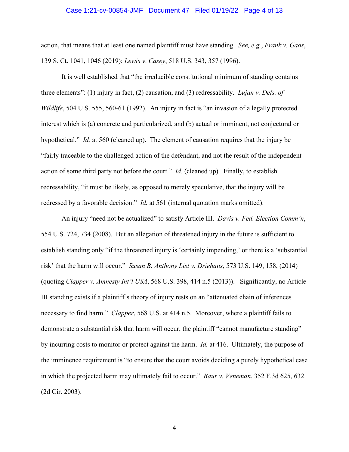### Case 1:21-cv-00854-JMF Document 47 Filed 01/19/22 Page 4 of 13

action, that means that at least one named plaintiff must have standing. *See, e.g.*, *Frank v. Gaos*, 139 S. Ct. 1041, 1046 (2019); *Lewis v*. *Casey*, 518 U.S. 343, 357 (1996).

It is well established that "the irreducible constitutional minimum of standing contains three elements": (1) injury in fact, (2) causation, and (3) redressability. *Lujan v. Defs. of Wildlife*, 504 U.S. 555, 560-61 (1992). An injury in fact is "an invasion of a legally protected interest which is (a) concrete and particularized, and (b) actual or imminent, not conjectural or hypothetical." *Id.* at 560 (cleaned up). The element of causation requires that the injury be "fairly traceable to the challenged action of the defendant, and not the result of the independent action of some third party not before the court." *Id.* (cleaned up). Finally, to establish redressability, "it must be likely, as opposed to merely speculative, that the injury will be redressed by a favorable decision." *Id.* at 561 (internal quotation marks omitted).

An injury "need not be actualized" to satisfy Article III. *Davis v. Fed. Election Comm'n*, 554 U.S. 724, 734 (2008). But an allegation of threatened injury in the future is sufficient to establish standing only "if the threatened injury is 'certainly impending,' or there is a 'substantial risk' that the harm will occur." *Susan B. Anthony List v. Driehaus*, 573 U.S. 149, 158, (2014) (quoting *Clapper v. Amnesty Int'l USA*, 568 U.S. 398, 414 n.5 (2013)). Significantly, no Article III standing exists if a plaintiff's theory of injury rests on an "attenuated chain of inferences necessary to find harm." *Clapper*, 568 U.S. at 414 n.5. Moreover, where a plaintiff fails to demonstrate a substantial risk that harm will occur, the plaintiff "cannot manufacture standing" by incurring costs to monitor or protect against the harm. *Id.* at 416. Ultimately, the purpose of the imminence requirement is "to ensure that the court avoids deciding a purely hypothetical case in which the projected harm may ultimately fail to occur." *Baur v. Veneman*, 352 F.3d 625, 632 (2d Cir. 2003).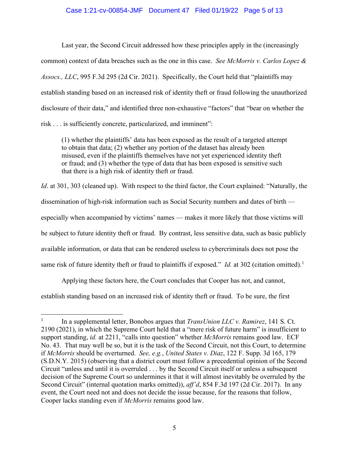# Case 1:21-cv-00854-JMF Document 47 Filed 01/19/22 Page 5 of 13

Last year, the Second Circuit addressed how these principles apply in the (increasingly common) context of data breaches such as the one in this case. *See McMorris v. Carlos Lopez & Assocs., LLC*, 995 F.3d 295 (2d Cir. 2021). Specifically, the Court held that "plaintiffs may establish standing based on an increased risk of identity theft or fraud following the unauthorized disclosure of their data," and identified three non-exhaustive "factors" that "bear on whether the risk . . . is sufficiently concrete, particularized, and imminent":

(1) whether the plaintiffs' data has been exposed as the result of a targeted attempt to obtain that data; (2) whether any portion of the dataset has already been misused, even if the plaintiffs themselves have not yet experienced identity theft or fraud; and (3) whether the type of data that has been exposed is sensitive such that there is a high risk of identity theft or fraud.

*Id.* at 301, 303 (cleaned up). With respect to the third factor, the Court explained: "Naturally, the dissemination of high-risk information such as Social Security numbers and dates of birth especially when accompanied by victims' names — makes it more likely that those victims will be subject to future identity theft or fraud. By contrast, less sensitive data, such as basic publicly available information, or data that can be rendered useless to cybercriminals does not pose the same risk of future identity theft or fraud to plaintiffs if exposed." *Id.* at 302 (citation omitted).<sup>1</sup>

Applying these factors here, the Court concludes that Cooper has not, and cannot, establish standing based on an increased risk of identity theft or fraud. To be sure, the first

<sup>&</sup>lt;sup>1</sup> In a supplemental letter, Bonobos argues that *TransUnion LLC v. Ramirez*, 141 S. Ct. 2190 (2021), in which the Supreme Court held that a "mere risk of future harm" is insufficient to support standing, *id.* at 2211, "calls into question" whether *McMorris* remains good law. ECF No. 43. That may well be so, but it is the task of the Second Circuit, not this Court, to determine if *McMorris* should be overturned. *See, e.g.*, *United States v. Diaz*, 122 F. Supp. 3d 165, 179 (S.D.N.Y. 2015) (observing that a district court must follow a precedential opinion of the Second Circuit "unless and until it is overruled . . . by the Second Circuit itself or unless a subsequent decision of the Supreme Court so undermines it that it will almost inevitably be overruled by the Second Circuit" (internal quotation marks omitted)), *aff'd*, 854 F.3d 197 (2d Cir. 2017). In any event, the Court need not and does not decide the issue because, for the reasons that follow, Cooper lacks standing even if *McMorris* remains good law.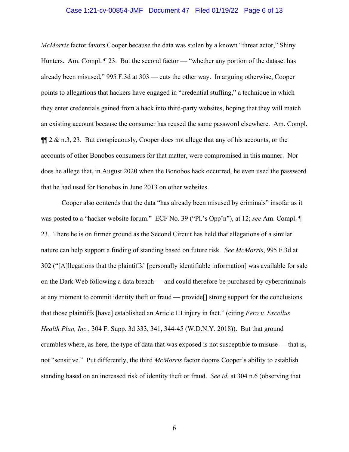# Case 1:21-cv-00854-JMF Document 47 Filed 01/19/22 Page 6 of 13

*McMorris* factor favors Cooper because the data was stolen by a known "threat actor," Shiny Hunters. Am. Compl.  $\P$  23. But the second factor — "whether any portion of the dataset has already been misused," 995 F.3d at 303 — cuts the other way. In arguing otherwise, Cooper points to allegations that hackers have engaged in "credential stuffing," a technique in which they enter credentials gained from a hack into third-party websites, hoping that they will match an existing account because the consumer has reused the same password elsewhere. Am. Compl.  $\P$ [ $\alpha$  2 & n.3, 23. But conspicuously, Cooper does not allege that any of his accounts, or the accounts of other Bonobos consumers for that matter, were compromised in this manner. Nor does he allege that, in August 2020 when the Bonobos hack occurred, he even used the password that he had used for Bonobos in June 2013 on other websites.

Cooper also contends that the data "has already been misused by criminals" insofar as it was posted to a "hacker website forum." ECF No. 39 ("Pl.'s Opp'n"), at 12; *see* Am. Compl. ¶ 23. There he is on firmer ground as the Second Circuit has held that allegations of a similar nature can help support a finding of standing based on future risk. *See McMorris*, 995 F.3d at 302 ("[A]llegations that the plaintiffs' [personally identifiable information] was available for sale on the Dark Web following a data breach — and could therefore be purchased by cybercriminals at any moment to commit identity theft or fraud — provide[] strong support for the conclusions that those plaintiffs [have] established an Article III injury in fact." (citing *Fero v. Excellus Health Plan, Inc.*, 304 F. Supp. 3d 333, 341, 344-45 (W.D.N.Y. 2018)). But that ground crumbles where, as here, the type of data that was exposed is not susceptible to misuse — that is, not "sensitive." Put differently, the third *McMorris* factor dooms Cooper's ability to establish standing based on an increased risk of identity theft or fraud. *See id.* at 304 n.6 (observing that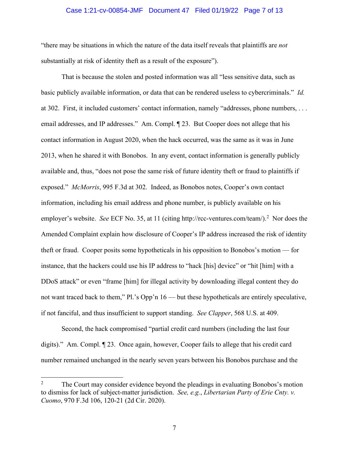# Case 1:21-cv-00854-JMF Document 47 Filed 01/19/22 Page 7 of 13

"there may be situations in which the nature of the data itself reveals that plaintiffs are *not* substantially at risk of identity theft as a result of the exposure").

That is because the stolen and posted information was all "less sensitive data, such as basic publicly available information, or data that can be rendered useless to cybercriminals." *Id.* at 302. First, it included customers' contact information, namely "addresses, phone numbers, . . . email addresses, and IP addresses." Am. Compl. 123. But Cooper does not allege that his contact information in August 2020, when the hack occurred, was the same as it was in June 2013, when he shared it with Bonobos. In any event, contact information is generally publicly available and, thus, "does not pose the same risk of future identity theft or fraud to plaintiffs if exposed." *McMorris*, 995 F.3d at 302. Indeed, as Bonobos notes, Cooper's own contact information, including his email address and phone number, is publicly available on his employer's website. See ECF No. 35, at 11 (citing http://rcc-ventures.com/team/).<sup>2</sup> Nor does the Amended Complaint explain how disclosure of Cooper's IP address increased the risk of identity theft or fraud. Cooper posits some hypotheticals in his opposition to Bonobos's motion — for instance, that the hackers could use his IP address to "hack [his] device" or "hit [him] with a DDoS attack" or even "frame [him] for illegal activity by downloading illegal content they do not want traced back to them," Pl.'s Opp'n 16 — but these hypotheticals are entirely speculative, if not fanciful, and thus insufficient to support standing. *See Clapper*, 568 U.S. at 409.

Second, the hack compromised "partial credit card numbers (including the last four digits)." Am. Compl. ¶ 23. Once again, however, Cooper fails to allege that his credit card number remained unchanged in the nearly seven years between his Bonobos purchase and the

<sup>2</sup> The Court may consider evidence beyond the pleadings in evaluating Bonobos's motion to dismiss for lack of subject-matter jurisdiction. *See, e.g.*, *Libertarian Party of Erie Cnty. v. Cuomo*, 970 F.3d 106, 120-21 (2d Cir. 2020).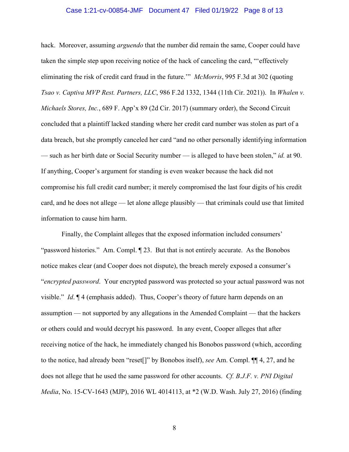# Case 1:21-cv-00854-JMF Document 47 Filed 01/19/22 Page 8 of 13

hack. Moreover, assuming *arguendo* that the number did remain the same, Cooper could have taken the simple step upon receiving notice of the hack of canceling the card, "'effectively eliminating the risk of credit card fraud in the future.'" *McMorris*, 995 F.3d at 302 (quoting *Tsao v. Captiva MVP Rest. Partners, LLC*, 986 F.2d 1332, 1344 (11th Cir. 2021)). In *Whalen v. Michaels Stores, Inc.*, 689 F. App'x 89 (2d Cir. 2017) (summary order), the Second Circuit concluded that a plaintiff lacked standing where her credit card number was stolen as part of a data breach, but she promptly canceled her card "and no other personally identifying information — such as her birth date or Social Security number — is alleged to have been stolen," *id.* at 90. If anything, Cooper's argument for standing is even weaker because the hack did not compromise his full credit card number; it merely compromised the last four digits of his credit card, and he does not allege — let alone allege plausibly — that criminals could use that limited information to cause him harm.

Finally, the Complaint alleges that the exposed information included consumers' "password histories." Am. Compl. ¶ 23. But that is not entirely accurate. As the Bonobos notice makes clear (and Cooper does not dispute), the breach merely exposed a consumer's "*encrypted password*. Your encrypted password was protected so your actual password was not visible." *Id*. ¶ 4 (emphasis added). Thus, Cooper's theory of future harm depends on an assumption — not supported by any allegations in the Amended Complaint — that the hackers or others could and would decrypt his password. In any event, Cooper alleges that after receiving notice of the hack, he immediately changed his Bonobos password (which, according to the notice, had already been "reset[]" by Bonobos itself), *see* Am. Compl. ¶¶ 4, 27, and he does not allege that he used the same password for other accounts. *Cf. B.J.F. v. PNI Digital Media*, No. 15-CV-1643 (MJP), 2016 WL 4014113, at \*2 (W.D. Wash. July 27, 2016) (finding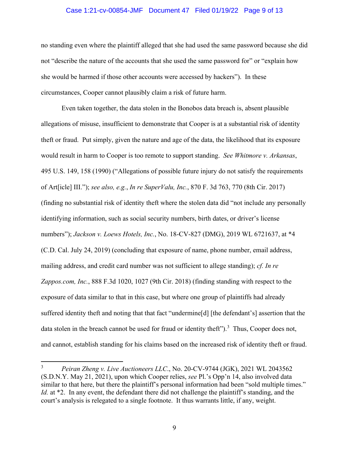# Case 1:21-cv-00854-JMF Document 47 Filed 01/19/22 Page 9 of 13

no standing even where the plaintiff alleged that she had used the same password because she did not "describe the nature of the accounts that she used the same password for" or "explain how she would be harmed if those other accounts were accessed by hackers"). In these circumstances, Cooper cannot plausibly claim a risk of future harm.

Even taken together, the data stolen in the Bonobos data breach is, absent plausible allegations of misuse, insufficient to demonstrate that Cooper is at a substantial risk of identity theft or fraud. Put simply, given the nature and age of the data, the likelihood that its exposure would result in harm to Cooper is too remote to support standing. *See Whitmore v. Arkansas*, 495 U.S. 149, 158 (1990) ("Allegations of possible future injury do not satisfy the requirements of Art[icle] III."); *see also, e.g.*, *In re SuperValu, Inc.*, 870 F. 3d 763, 770 (8th Cir. 2017) (finding no substantial risk of identity theft where the stolen data did "not include any personally identifying information, such as social security numbers, birth dates, or driver's license numbers"); *Jackson v. Loews Hotels, Inc.*, No. 18-CV-827 (DMG), 2019 WL 6721637, at \*4 (C.D. Cal. July 24, 2019) (concluding that exposure of name, phone number, email address, mailing address, and credit card number was not sufficient to allege standing); *cf. In re Zappos.com, Inc.*, 888 F.3d 1020, 1027 (9th Cir. 2018) (finding standing with respect to the exposure of data similar to that in this case, but where one group of plaintiffs had already suffered identity theft and noting that that fact "undermine[d] [the defendant's] assertion that the data stolen in the breach cannot be used for fraud or identity theft").<sup>3</sup> Thus, Cooper does not, and cannot, establish standing for his claims based on the increased risk of identity theft or fraud.

<sup>3</sup> *Peiran Zheng v. Live Auctioneers LLC*., No. 20-CV-9744 (JGK), 2021 WL 2043562 (S.D.N.Y. May 21, 2021), upon which Cooper relies, *see* Pl.'s Opp'n 14, also involved data similar to that here, but there the plaintiff's personal information had been "sold multiple times." *Id.* at \*2. In any event, the defendant there did not challenge the plaintiff's standing, and the court's analysis is relegated to a single footnote. It thus warrants little, if any, weight.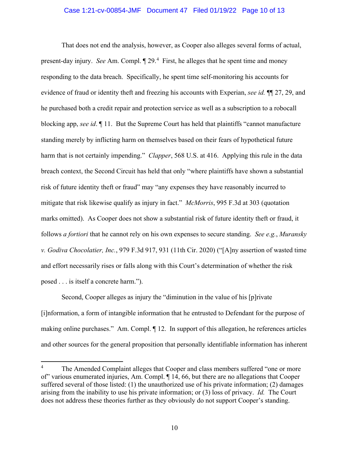# Case 1:21-cv-00854-JMF Document 47 Filed 01/19/22 Page 10 of 13

That does not end the analysis, however, as Cooper also alleges several forms of actual, present-day injury. *See* Am. Compl.  $\P$  29.<sup>4</sup> First, he alleges that he spent time and money responding to the data breach. Specifically, he spent time self-monitoring his accounts for evidence of fraud or identity theft and freezing his accounts with Experian, *see id.* ¶¶ 27, 29, and he purchased both a credit repair and protection service as well as a subscription to a robocall blocking app, *see id*. ¶ 11. But the Supreme Court has held that plaintiffs "cannot manufacture standing merely by inflicting harm on themselves based on their fears of hypothetical future harm that is not certainly impending." *Clapper*, 568 U.S. at 416. Applying this rule in the data breach context, the Second Circuit has held that only "where plaintiffs have shown a substantial risk of future identity theft or fraud" may "any expenses they have reasonably incurred to mitigate that risk likewise qualify as injury in fact." *McMorris*, 995 F.3d at 303 (quotation marks omitted). As Cooper does not show a substantial risk of future identity theft or fraud, it follows *a fortiori* that he cannot rely on his own expenses to secure standing. *See e.g.*, *Muransky v. Godiva Chocolatier, Inc.*, 979 F.3d 917, 931 (11th Cir. 2020) ("[A]ny assertion of wasted time and effort necessarily rises or falls along with this Court's determination of whether the risk posed . . . is itself a concrete harm.").

Second, Cooper alleges as injury the "diminution in the value of his [p]rivate [i]nformation, a form of intangible information that he entrusted to Defendant for the purpose of making online purchases." Am. Compl. ¶ 12. In support of this allegation, he references articles and other sources for the general proposition that personally identifiable information has inherent

<sup>&</sup>lt;sup>4</sup> The Amended Complaint alleges that Cooper and class members suffered "one or more of" various enumerated injuries, Am. Compl. ¶ 14, 66, but there are no allegations that Cooper suffered several of those listed: (1) the unauthorized use of his private information; (2) damages arising from the inability to use his private information; or (3) loss of privacy. *Id.* The Court does not address these theories further as they obviously do not support Cooper's standing.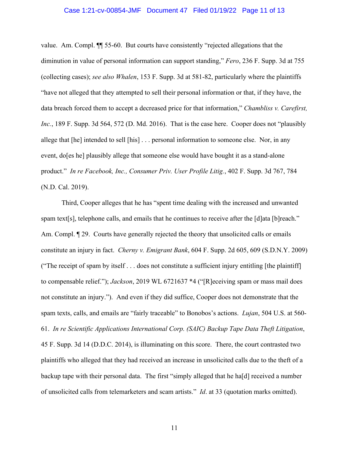# Case 1:21-cv-00854-JMF Document 47 Filed 01/19/22 Page 11 of 13

value. Am. Compl. ¶¶ 55-60. But courts have consistently "rejected allegations that the diminution in value of personal information can support standing," *Fero*, 236 F. Supp. 3d at 755 (collecting cases); *see also Whalen*, 153 F. Supp. 3d at 581-82, particularly where the plaintiffs "have not alleged that they attempted to sell their personal information or that, if they have, the data breach forced them to accept a decreased price for that information," *Chambliss v. Carefirst, Inc.*, 189 F. Supp. 3d 564, 572 (D. Md. 2016). That is the case here. Cooper does not "plausibly allege that [he] intended to sell [his] . . . personal information to someone else. Nor, in any event, do[es he] plausibly allege that someone else would have bought it as a stand-alone product." *In re Facebook, Inc., Consumer Priv. User Profile Litig.*, 402 F. Supp. 3d 767, 784 (N.D. Cal. 2019).

Third, Cooper alleges that he has "spent time dealing with the increased and unwanted spam text[s], telephone calls, and emails that he continues to receive after the [d]ata [b]reach." Am. Compl.  $\llbracket 29$ . Courts have generally rejected the theory that unsolicited calls or emails constitute an injury in fact. *Cherny v. Emigrant Bank*, 604 F. Supp. 2d 605, 609 (S.D.N.Y. 2009) ("The receipt of spam by itself . . . does not constitute a sufficient injury entitling [the plaintiff] to compensable relief."); *Jackson*, 2019 WL 6721637 \*4 ("[R]eceiving spam or mass mail does not constitute an injury."). And even if they did suffice, Cooper does not demonstrate that the spam texts, calls, and emails are "fairly traceable" to Bonobos's actions. *Lujan*, 504 U.S. at 560- 61. *In re Scientific Applications International Corp. (SAIC) Backup Tape Data Theft Litigation*, 45 F. Supp. 3d 14 (D.D.C. 2014), is illuminating on this score. There, the court contrasted two plaintiffs who alleged that they had received an increase in unsolicited calls due to the theft of a backup tape with their personal data. The first "simply alleged that he ha[d] received a number of unsolicited calls from telemarketers and scam artists." *Id*. at 33 (quotation marks omitted).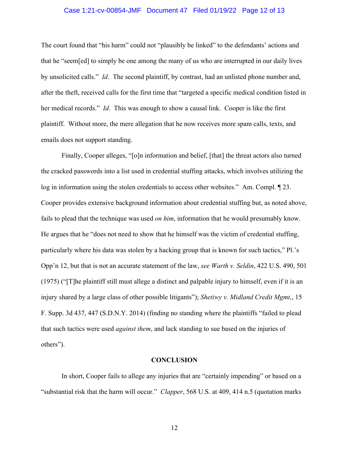# Case 1:21-cv-00854-JMF Document 47 Filed 01/19/22 Page 12 of 13

The court found that "his harm" could not "plausibly be linked" to the defendants' actions and that he "seem[ed] to simply be one among the many of us who are interrupted in our daily lives by unsolicited calls." *Id*. The second plaintiff, by contrast, had an unlisted phone number and, after the theft, received calls for the first time that "targeted a specific medical condition listed in her medical records." *Id*. This was enough to show a causal link. Cooper is like the first plaintiff. Without more, the mere allegation that he now receives more spam calls, texts, and emails does not support standing.

Finally, Cooper alleges, "[o]n information and belief, [that] the threat actors also turned the cracked passwords into a list used in credential stuffing attacks, which involves utilizing the log in information using the stolen credentials to access other websites." Am. Compl. ¶ 23. Cooper provides extensive background information about credential stuffing but, as noted above, fails to plead that the technique was used *on him*, information that he would presumably know. He argues that he "does not need to show that he himself was the victim of credential stuffing, particularly where his data was stolen by a hacking group that is known for such tactics," Pl.'s Opp'n 12, but that is not an accurate statement of the law, *see Warth v. Seldin*, 422 U.S. 490, 501 (1975) ("[T]he plaintiff still must allege a distinct and palpable injury to himself, even if it is an injury shared by a large class of other possible litigants"); *Shetiwy v. Midland Credit Mgmt,*, 15 F. Supp. 3d 437, 447 (S.D.N.Y. 2014) (finding no standing where the plaintiffs "failed to plead that such tactics were used *against them*, and lack standing to sue based on the injuries of others").

#### **CONCLUSION**

In short, Cooper fails to allege any injuries that are "certainly impending" or based on a "substantial risk that the harm will occur." *Clapper*, 568 U.S. at 409, 414 n.5 (quotation marks